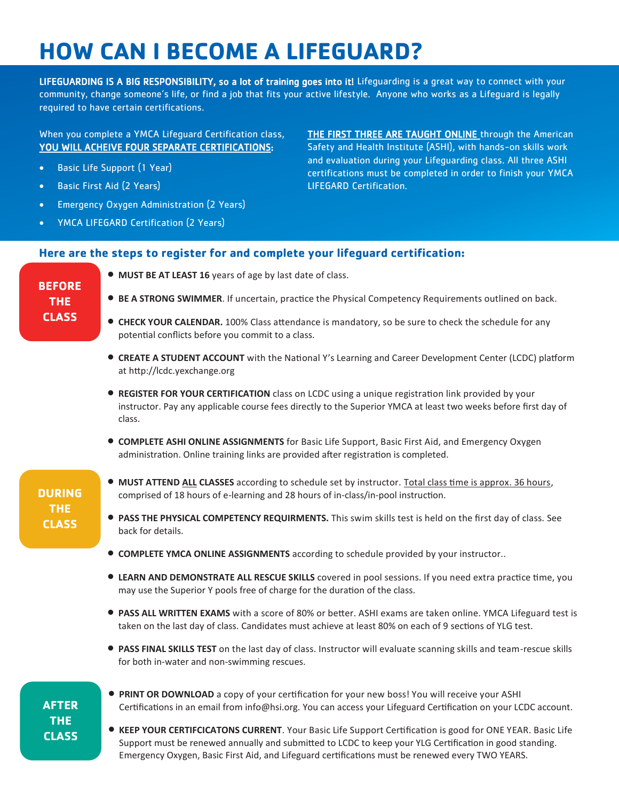# **HOW CAN I BECOME A LIFEGUARD?**

LIFEGUARDING IS A BIG RESPONSIBILITY, so a lot of training goes into it! Lifeguarding is a great way to connect with your community, change someone's life, or find a job that fits your active lifestyle. Anyone who works as a Lifeguard is legally required to have certain certifications.

## When you complete a YMCA Lifeguard Certification class, YOU WILL ACHEIVE FOUR SEPARATE CERTIFICATIONS:

- **Basic Life Support (1 Year)**
- Basic First Aid (2 Years)
- Emergency Oxygen Administration (2 Years)
- YMCA LIFEGARD Certification (2 Years)

THE FIRST THREE ARE TAUGHT ONLINE through the American Safety and Health Institute (ASHI), with hands-on skills work and evaluation during your Lifeguarding class. All three ASHI certifications must be completed in order to finish your YMCA LIFEGARD Certification.

### **Here are the steps to register for and complete your lifeguard certification:**

**MUST BE AT LEAST 16** years of age by last date of class.

## **BEFORE THE CLASS**

- **BE A STRONG SWIMMER.** If uncertain, practice the Physical Competency Requirements outlined on back.
- **CHECK YOUR CALENDAR.** 100% Class attendance is mandatory, so be sure to check the schedule for any potential conflicts before you commit to a class.
- **CREATE A STUDENT ACCOUNT** with the National Y's Learning and Career Development Center (LCDC) platform at http://lcdc.yexchange.org
- **REGISTER FOR YOUR CERTIFICATION** class on LCDC using a unique registration link provided by your instructor. Pay any applicable course fees directly to the Superior YMCA at least two weeks before first day of class.
- **COMPLETE ASHI ONLINE ASSIGNMENTS** for Basic Life Support, Basic First Aid, and Emergency Oxygen administration. Online training links are provided after registration is completed.

## **DURING THE CLASS**

- **MUST ATTEND ALL CLASSES** according to schedule set by instructor. Total class time is approx. 36 hours, comprised of 18 hours of e-learning and 28 hours of in-class/in-pool instruction.
- **PASS THE PHYSICAL COMPETENCY REQUIRMENTS.** This swim skills test is held on the first day of class. See back for details.
- **COMPLETE YMCA ONLINE ASSIGNMENTS** according to schedule provided by your instructor..
- **LEARN AND DEMONSTRATE ALL RESCUE SKILLS** covered in pool sessions. If you need extra practice time, you may use the Superior Y pools free of charge for the duration of the class.
- **PASS ALL WRITTEN EXAMS** with a score of 80% or better. ASHI exams are taken online. YMCA Lifeguard test is taken on the last day of class. Candidates must achieve at least 80% on each of 9 sections of YLG test.
- **PASS FINAL SKILLS TEST** on the last day of class. Instructor will evaluate scanning skills and team-rescue skills for both in-water and non-swimming rescues.

## **AFTER THE CLASS**

- **PRINT OR DOWNLOAD** a copy of your certification for your new boss! You will receive your ASHI Certifications in an email from info@hsi.org. You can access your Lifeguard Certification on your LCDC account.
- **KEEP YOUR CERTIFCICATONS CURRENT**. Your Basic Life Support Certification is good for ONE YEAR. Basic Life Support must be renewed annually and submitted to LCDC to keep your YLG Certification in good standing. Emergency Oxygen, Basic First Aid, and Lifeguard certifications must be renewed every TWO YEARS.